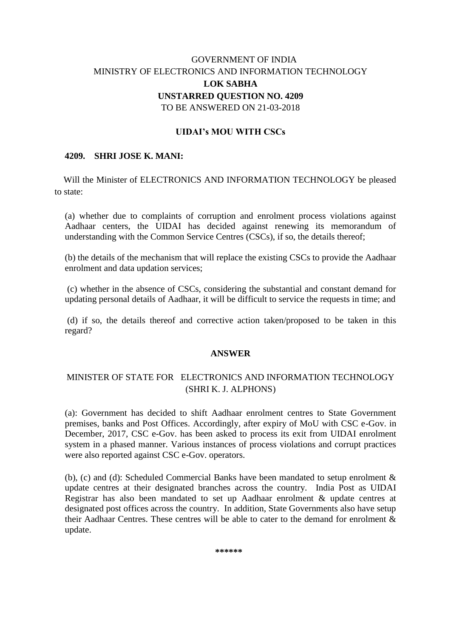# GOVERNMENT OF INDIA MINISTRY OF ELECTRONICS AND INFORMATION TECHNOLOGY **LOK SABHA UNSTARRED QUESTION NO. 4209** TO BE ANSWERED ON 21-03-2018

## **UIDAI's MOU WITH CSCs**

### **4209. SHRI JOSE K. MANI:**

 Will the Minister of ELECTRONICS AND INFORMATION TECHNOLOGY be pleased to state:

(a) whether due to complaints of corruption and enrolment process violations against Aadhaar centers, the UIDAI has decided against renewing its memorandum of understanding with the Common Service Centres (CSCs), if so, the details thereof;

(b) the details of the mechanism that will replace the existing CSCs to provide the Aadhaar enrolment and data updation services;

(c) whether in the absence of CSCs, considering the substantial and constant demand for updating personal details of Aadhaar, it will be difficult to service the requests in time; and

(d) if so, the details thereof and corrective action taken/proposed to be taken in this regard?

#### **ANSWER**

## MINISTER OF STATE FOR ELECTRONICS AND INFORMATION TECHNOLOGY (SHRI K. J. ALPHONS)

(a): Government has decided to shift Aadhaar enrolment centres to State Government premises, banks and Post Offices. Accordingly, after expiry of MoU with CSC e-Gov. in December, 2017, CSC e-Gov. has been asked to process its exit from UIDAI enrolment system in a phased manner. Various instances of process violations and corrupt practices were also reported against CSC e-Gov. operators.

(b), (c) and (d): Scheduled Commercial Banks have been mandated to setup enrolment & update centres at their designated branches across the country. India Post as UIDAI Registrar has also been mandated to set up Aadhaar enrolment & update centres at designated post offices across the country. In addition, State Governments also have setup their Aadhaar Centres. These centres will be able to cater to the demand for enrolment  $\&$ . update.

**\*\*\*\*\*\***